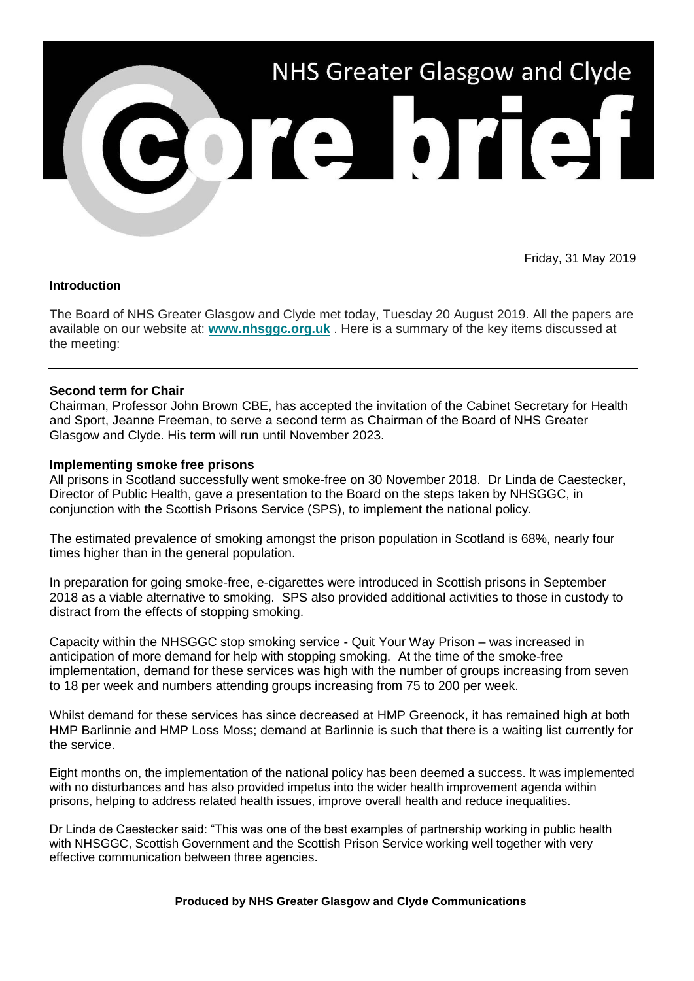

Friday, 31 May 2019

#### **Introduction**

The Board of NHS Greater Glasgow and Clyde met today, Tuesday 20 August 2019. All the papers are available on our website at: **[www.nhsggc.org.uk](https://www.nhsggc.org.uk/about-us/nhsggc-board/board-meetings-papers-reports/papers/2019/)** . Here is a summary of the key items discussed at the meeting:

# **Second term for Chair**

Chairman, Professor John Brown CBE, has accepted the invitation of the Cabinet Secretary for Health and Sport, Jeanne Freeman, to serve a second term as Chairman of the Board of NHS Greater Glasgow and Clyde. His term will run until November 2023.

## **Implementing smoke free prisons**

All prisons in Scotland successfully went smoke-free on 30 November 2018. Dr Linda de Caestecker, Director of Public Health, gave a presentation to the Board on the steps taken by NHSGGC, in conjunction with the Scottish Prisons Service (SPS), to implement the national policy.

The estimated prevalence of smoking amongst the prison population in Scotland is 68%, nearly four times higher than in the general population.

In preparation for going smoke-free, e-cigarettes were introduced in Scottish prisons in September 2018 as a viable alternative to smoking. SPS also provided additional activities to those in custody to distract from the effects of stopping smoking.

Capacity within the NHSGGC stop smoking service - Quit Your Way Prison – was increased in anticipation of more demand for help with stopping smoking. At the time of the smoke-free implementation, demand for these services was high with the number of groups increasing from seven to 18 per week and numbers attending groups increasing from 75 to 200 per week.

Whilst demand for these services has since decreased at HMP Greenock, it has remained high at both HMP Barlinnie and HMP Loss Moss; demand at Barlinnie is such that there is a waiting list currently for the service.

Eight months on, the implementation of the national policy has been deemed a success. It was implemented with no disturbances and has also provided impetus into the wider health improvement agenda within prisons, helping to address related health issues, improve overall health and reduce inequalities.

Dr Linda de Caestecker said: "This was one of the best examples of partnership working in public health with NHSGGC, Scottish Government and the Scottish Prison Service working well together with very effective communication between three agencies.

**Produced by NHS Greater Glasgow and Clyde Communications**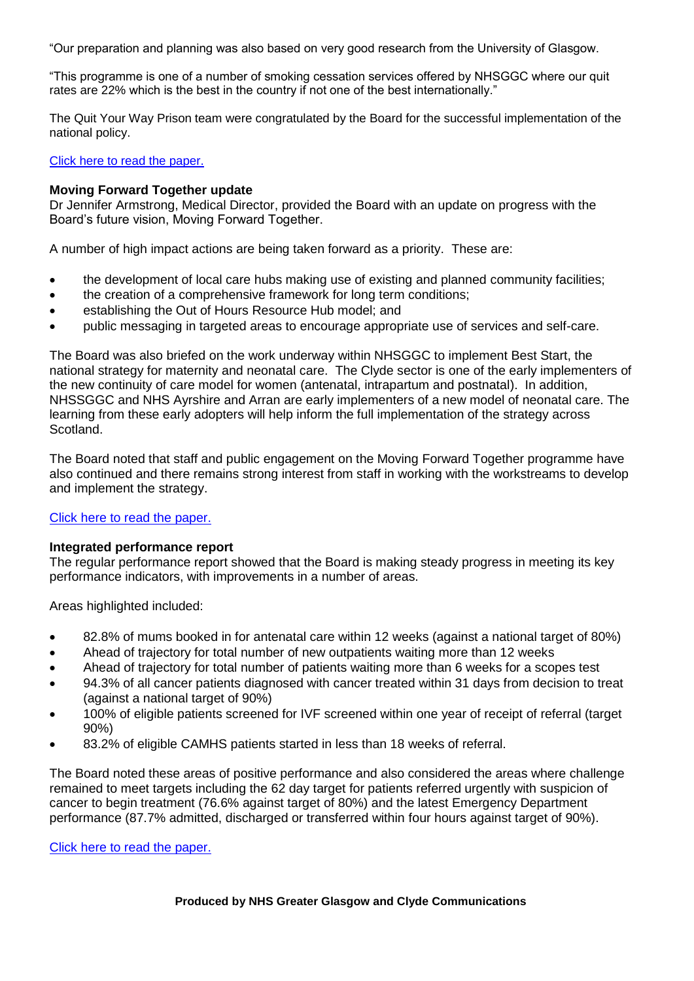"Our preparation and planning was also based on very good research from the University of Glasgow.

"This programme is one of a number of smoking cessation services offered by NHSGGC where our quit rates are 22% which is the best in the country if not one of the best internationally."

The Quit Your Way Prison team were congratulated by the Board for the successful implementation of the national policy.

[Click here to read the paper.](https://www.nhsggc.org.uk/media/255414/item-09-paper-19_40-sf-prisons-policy-in-nhsggc.pdf?utm_source=Core%20Brief&utm_medium=Email&utm_campaign=Core_Brief_smoke_free_prisons)

### **Moving Forward Together update**

Dr Jennifer Armstrong, Medical Director, provided the Board with an update on progress with the Board's future vision, Moving Forward Together.

A number of high impact actions are being taken forward as a priority. These are:

- the development of local care hubs making use of existing and planned community facilities;
- the creation of a comprehensive framework for long term conditions;
- establishing the Out of Hours Resource Hub model; and
- public messaging in targeted areas to encourage appropriate use of services and self-care.

The Board was also briefed on the work underway within NHSGGC to implement Best Start, the national strategy for maternity and neonatal care. The Clyde sector is one of the early implementers of the new continuity of care model for women (antenatal, intrapartum and postnatal). In addition, NHSSGGC and NHS Ayrshire and Arran are early implementers of a new model of neonatal care. The learning from these early adopters will help inform the full implementation of the strategy across Scotland.

The Board noted that staff and public engagement on the Moving Forward Together programme have also continued and there remains strong interest from staff in working with the workstreams to develop and implement the strategy.

#### [Click here to read the paper.](https://www.nhsggc.org.uk/media/255415/item-10-mft-update.pdf?utm_source=Core%20Brief&utm_medium=Email&utm_campaign=Core_Brief_mft)

#### **Integrated performance report**

The regular performance report showed that the Board is making steady progress in meeting its key performance indicators, with improvements in a number of areas.

Areas highlighted included:

- 82.8% of mums booked in for antenatal care within 12 weeks (against a national target of 80%)
- Ahead of trajectory for total number of new outpatients waiting more than 12 weeks
- Ahead of trajectory for total number of patients waiting more than 6 weeks for a scopes test
- 94.3% of all cancer patients diagnosed with cancer treated within 31 days from decision to treat (against a national target of 90%)
- 100% of eligible patients screened for IVF screened within one year of receipt of referral (target 90%)
- 83.2% of eligible CAMHS patients started in less than 18 weeks of referral.

The Board noted these areas of positive performance and also considered the areas where challenge remained to meet targets including the 62 day target for patients referred urgently with suspicion of cancer to begin treatment (76.6% against target of 80%) and the latest Emergency Department performance (87.7% admitted, discharged or transferred within four hours against target of 90%).

[Click here to read the paper.](https://www.nhsggc.org.uk/media/255418/item-12-combined-performance-report.pdf?utm_source=Core%20Brief&utm_medium=Email&utm_campaign=Core_Brief_integrated_performance)